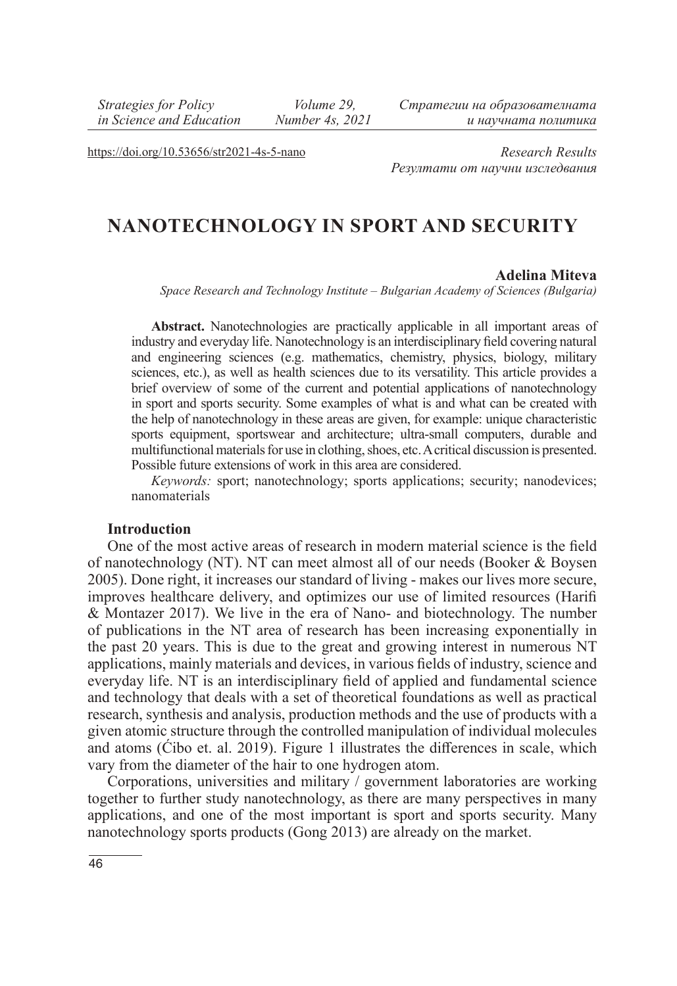*Strategies for Policy in Science and Education*

 *Volume 29, Number 4s, 2021* *Стратегии на образователната и научната политика*

https://doi.org/10.53656/str2021-4s-5-nano

*Research Results Резултати от научни изследвания*

# **NANOTECHNOLOGY IN SPORT AND SECURITY**

#### **Adelina Miteva**

*Space Research and Technology Institute – Bulgarian Academy of Sciences (Bulgaria)* 

**Abstract.** Nanotechnologies are practically applicable in all important areas of industry and everyday life. Nanotechnology is an interdisciplinary field covering natural and engineering sciences (e.g. mathematics, chemistry, physics, biology, military sciences, etc.), as well as health sciences due to its versatility. This article provides a brief overview of some of the current and potential applications of nanotechnology in sport and sports security. Some examples of what is and what can be created with the help of nanotechnology in these areas are given, for example: unique characteristic sports equipment, sportswear and architecture; ultra-small computers, durable and multifunctional materials for use in clothing, shoes, etc. A critical discussion is presented. Possible future extensions of work in this area are considered.

*Keywords:* sport; nanotechnology; sports applications; security; nanodevices; nanomaterials

#### **Introduction**

One of the most active areas of research in modern material science is the field of nanotechnology (NT). NT can meet almost all of our needs (Booker & Boysen 2005). Done right, it increases our standard of living - makes our lives more secure, improves healthcare delivery, and optimizes our use of limited resources (Harifi & Montazer 2017). We live in the era of Nano- and biotechnology. The number of publications in the NT area of research has been increasing exponentially in the past 20 years. This is due to the great and growing interest in numerous NT applications, mainly materials and devices, in various fields of industry, science and everyday life. NT is an interdisciplinary field of applied and fundamental science and technology that deals with a set of theoretical foundations as well as practical research, synthesis and analysis, production methods and the use of products with a given atomic structure through the controlled manipulation of individual molecules and atoms (Ćibo et. al. 2019). Figure 1 illustrates the differences in scale, which vary from the diameter of the hair to one hydrogen atom.

Corporations, universities and military / government laboratories are working together to further study nanotechnology, as there are many perspectives in many applications, and one of the most important is sport and sports security. Many nanotechnology sports products (Gong 2013) are already on the market.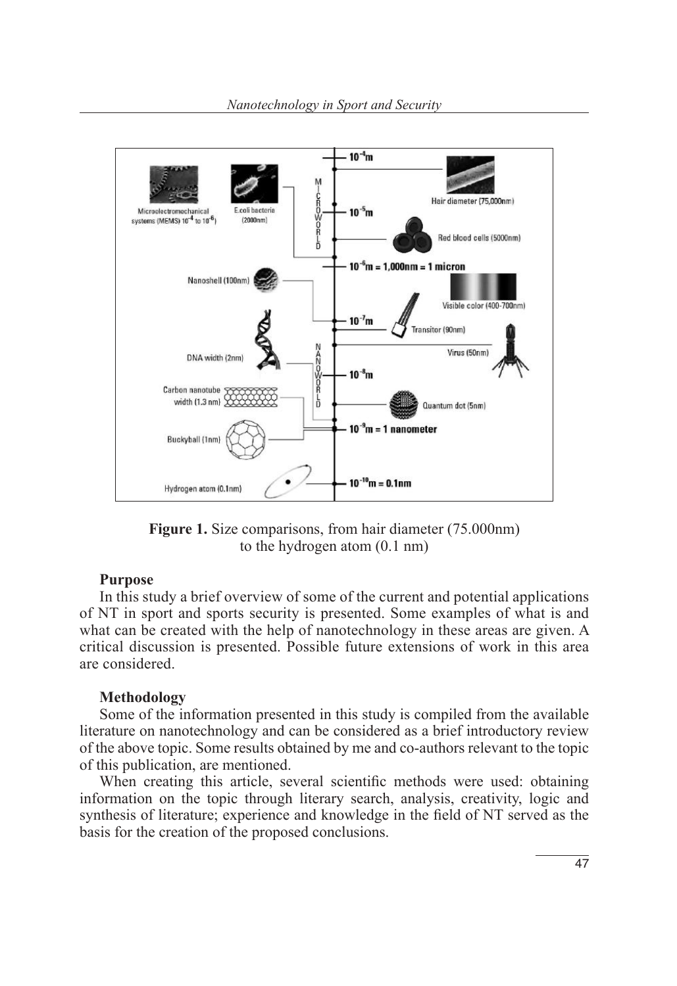

**Figure 1.** Size comparisons, from hair diameter (75.000nm) to the hydrogen atom (0.1 nm)

#### **Purpose**

In this study a brief overview of some of the current and potential applications of NT in sport and sports security is presented. Some examples of what is and what can be created with the help of nanotechnology in these areas are given. A critical discussion is presented. Possible future extensions of work in this area are considered.

#### **Methodology**

Some of the information presented in this study is compiled from the available literature on nanotechnology and can be considered as a brief introductory review of the above topic. Some results obtained by me and co-authors relevant to the topic of this publication, are mentioned.

When creating this article, several scientific methods were used: obtaining information on the topic through literary search, analysis, creativity, logic and synthesis of literature; experience and knowledge in the field of NT served as the basis for the creation of the proposed conclusions.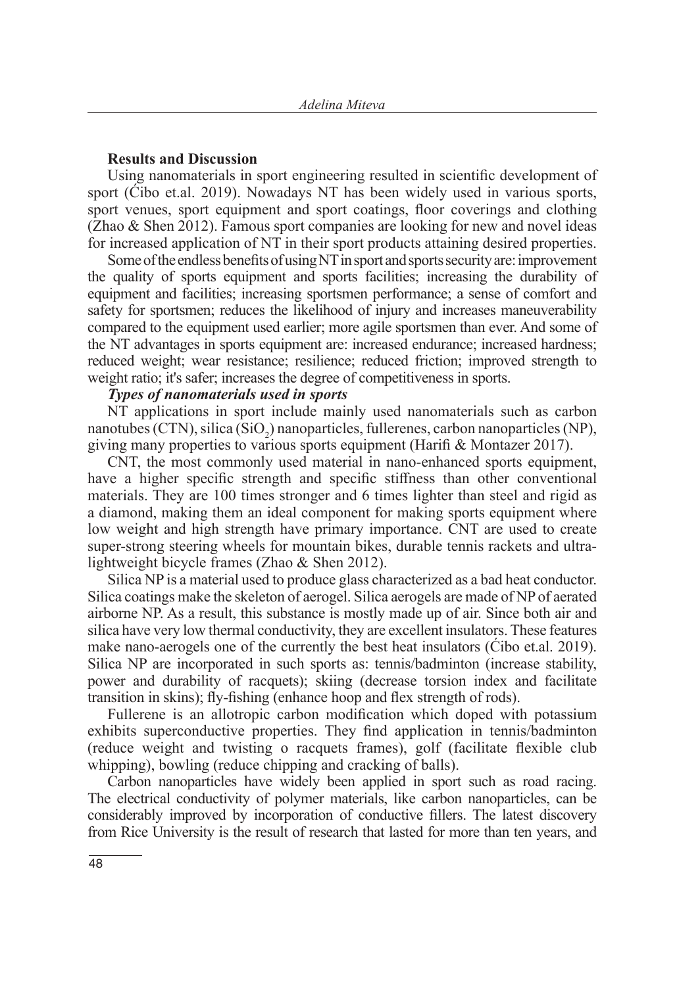#### **Results and Discussion**

Using nanomaterials in sport engineering resulted in scientific development of sport (Ćibo et.al. 2019). Nowadays NT has been widely used in various sports, sport venues, sport equipment and sport coatings, floor coverings and clothing (Zhao & Shen 2012). Famous sport companies are looking for new and novel ideas for increased application of NT in their sport products attaining desired properties.

Some of the endless benefits of using NT in sport and sports security are: improvement the quality of sports equipment and sports facilities; increasing the durability of equipment and facilities; increasing sportsmen performance; a sense of comfort and safety for sportsmen; reduces the likelihood of injury and increases maneuverability compared to the equipment used earlier; more agile sportsmen than ever. And some of the NT advantages in sports equipment are: increased endurance; increased hardness; reduced weight; wear resistance; resilience; reduced friction; improved strength to weight ratio; it's safer; increases the degree of competitiveness in sports.

#### *Types of nanomaterials used in sports*

NT applications in sport include mainly used nanomaterials such as carbon nanotubes (CTN), silica (SiO<sub>2</sub>) nanoparticles, fullerenes, carbon nanoparticles (NP), giving many properties to various sports equipment (Harifi & Montazer 2017).

CNT, the most commonly used material in nano-enhanced sports equipment, have a higher specific strength and specific stiffness than other conventional materials. They are 100 times stronger and 6 times lighter than steel and rigid as a diamond, making them an ideal component for making sports equipment where low weight and high strength have primary importance. CNT are used to create super-strong steering wheels for mountain bikes, durable tennis rackets and ultralightweight bicycle frames (Zhao & Shen 2012).

Silica NP is a material used to produce glass characterized as a bad heat conductor. Silica coatings make the skeleton of aerogel. Silica aerogels are made of NP of aerated airborne NP. As a result, this substance is mostly made up of air. Since both air and silica have very low thermal conductivity, they are excellent insulators. These features make nano-aerogels one of the currently the best heat insulators (Ćibo et.al. 2019). Silica NP are incorporated in such sports as: tennis/badminton (increase stability, power and durability of racquets); skiing (decrease torsion index and facilitate transition in skins); fly-fishing (enhance hoop and flex strength of rods).

Fullerene is an allotropic carbon modification which doped with potassium exhibits superconductive properties. They find application in tennis/badminton (reduce weight and twisting o racquets frames), golf (facilitate flexible club whipping), bowling (reduce chipping and cracking of balls).

Carbon nanoparticles have widely been applied in sport such as road racing. The electrical conductivity of polymer materials, like carbon nanoparticles, can be considerably improved by incorporation of conductive fillers. The latest discovery from Rice University is the result of research that lasted for more than ten years, and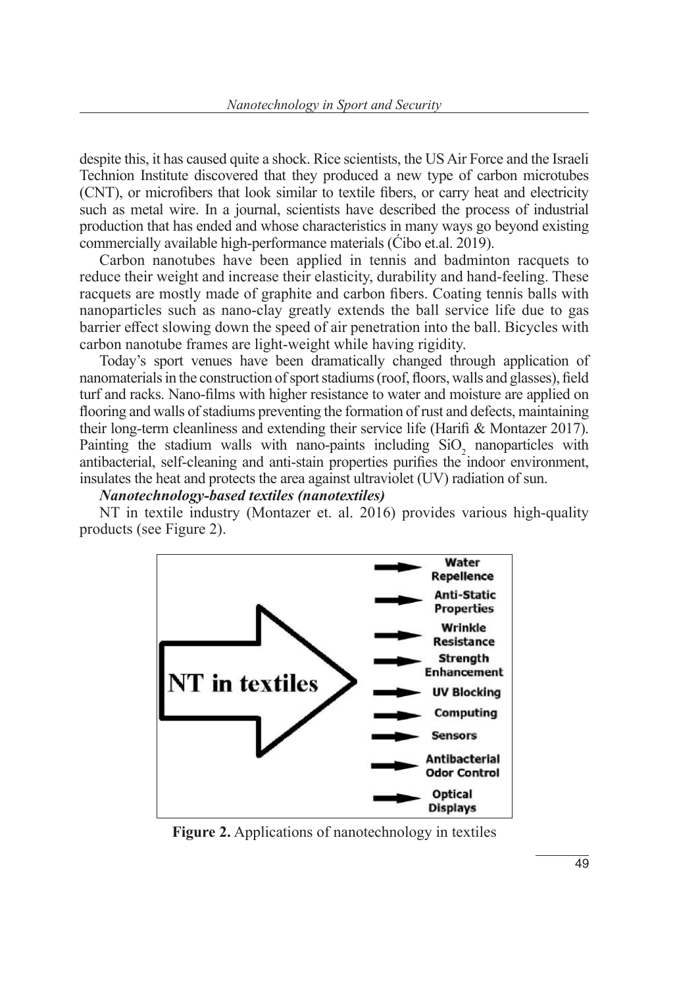despite this, it has caused quite a shock. Rice scientists, the US Air Force and the Israeli Technion Institute discovered that they produced a new type of carbon microtubes (CNT), or microfibers that look similar to textile fibers, or carry heat and electricity such as metal wire. In a journal, scientists have described the process of industrial production that has ended and whose characteristics in many ways go beyond existing commercially available high-performance materials (Ćibo et.al. 2019).

Carbon nanotubes have been applied in tennis and badminton racquets to reduce their weight and increase their elasticity, durability and hand-feeling. These racquets are mostly made of graphite and carbon fibers. Coating tennis balls with nanoparticles such as nano-clay greatly extends the ball service life due to gas barrier effect slowing down the speed of air penetration into the ball. Bicycles with carbon nanotube frames are light-weight while having rigidity.

Today's sport venues have been dramatically changed through application of nanomaterials in the construction of sport stadiums (roof, floors, walls and glasses), field turf and racks. Nano-films with higher resistance to water and moisture are applied on flooring and walls of stadiums preventing the formation of rust and defects, maintaining their long-term cleanliness and extending their service life (Harifi & Montazer 2017). Painting the stadium walls with nano-paints including  $SiO<sub>2</sub>$  nanoparticles with antibacterial, self-cleaning and anti-stain properties purifies the indoor environment, insulates the heat and protects the area against ultraviolet (UV) radiation of sun.

### *Nanotechnology-based textiles (nanotextiles)*

NT in textile industry (Montazer et. al. 2016) provides various high-quality products (see Figure 2).



**Figure 2.** Applications of nanotechnology in textiles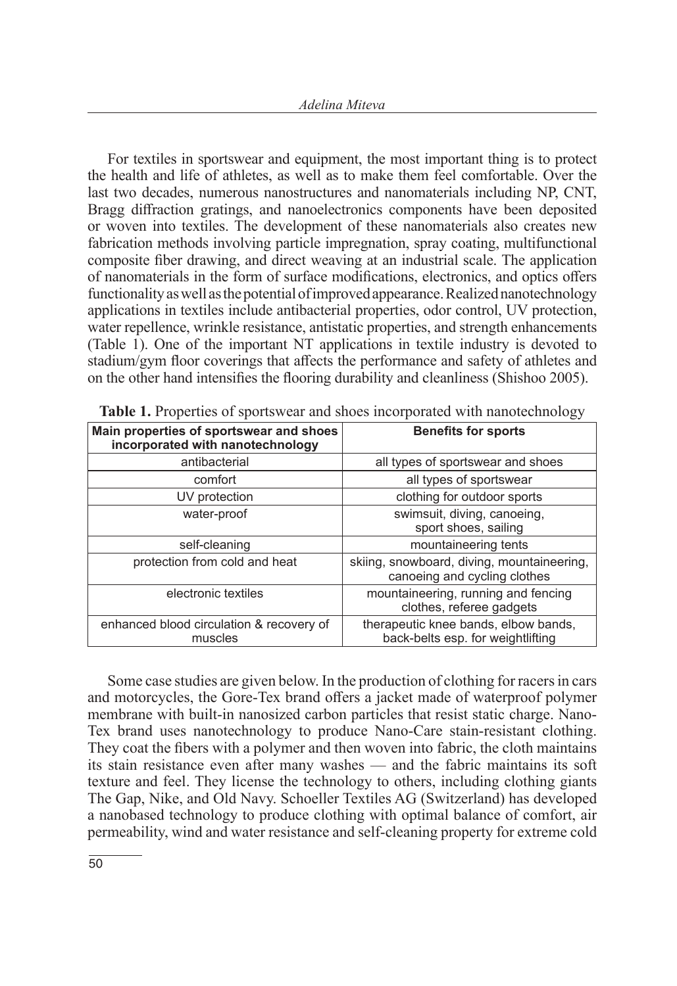For textiles in sportswear and equipment, the most important thing is to protect the health and life of athletes, as well as to make them feel comfortable. Over the last two decades, numerous nanostructures and nanomaterials including NP, CNT, Bragg diffraction gratings, and nanoelectronics components have been deposited or woven into textiles. The development of these nanomaterials also creates new fabrication methods involving particle impregnation, spray coating, multifunctional composite fiber drawing, and direct weaving at an industrial scale. The application of nanomaterials in the form of surface modifications, electronics, and optics offers functionality as well as the potential of improved appearance. Realized nanotechnology applications in textiles include antibacterial properties, odor control, UV protection, water repellence, wrinkle resistance, antistatic properties, and strength enhancements (Table 1). One of the important NT applications in textile industry is devoted to stadium/gym floor coverings that affects the performance and safety of athletes and on the other hand intensifies the flooring durability and cleanliness (Shishoo 2005).

|                                                                             | ت                                                                          |
|-----------------------------------------------------------------------------|----------------------------------------------------------------------------|
| Main properties of sportswear and shoes<br>incorporated with nanotechnology | <b>Benefits for sports</b>                                                 |
| antibacterial                                                               | all types of sportswear and shoes                                          |
| comfort                                                                     | all types of sportswear                                                    |
| UV protection                                                               | clothing for outdoor sports                                                |
| water-proof                                                                 | swimsuit, diving, canoeing,<br>sport shoes, sailing                        |
| self-cleaning                                                               | mountaineering tents                                                       |
| protection from cold and heat                                               | skiing, snowboard, diving, mountaineering,<br>canoeing and cycling clothes |
| electronic textiles                                                         | mountaineering, running and fencing<br>clothes, referee gadgets            |
| enhanced blood circulation & recovery of<br>muscles                         | therapeutic knee bands, elbow bands,<br>back-belts esp. for weightlifting  |

**Table 1.** Properties of sportswear and shoes incorporated with nanotechnology

Some case studies are given below. In the production of clothing for racers in cars and motorcycles, the Gore-Tex brand offers a jacket made of waterproof polymer membrane with built-in nanosized carbon particles that resist static charge. Nano-Tex brand uses nanotechnology to produce Nano-Care stain-resistant clothing. They coat the fibers with a polymer and then woven into fabric, the cloth maintains its stain resistance even after many washes — and the fabric maintains its soft texture and feel. They license the technology to others, including clothing giants The Gap, Nike, and Old Navy. Schoeller Textiles AG (Switzerland) has developed a nanobased technology to produce clothing with optimal balance of comfort, air permeability, wind and water resistance and self-cleaning property for extreme cold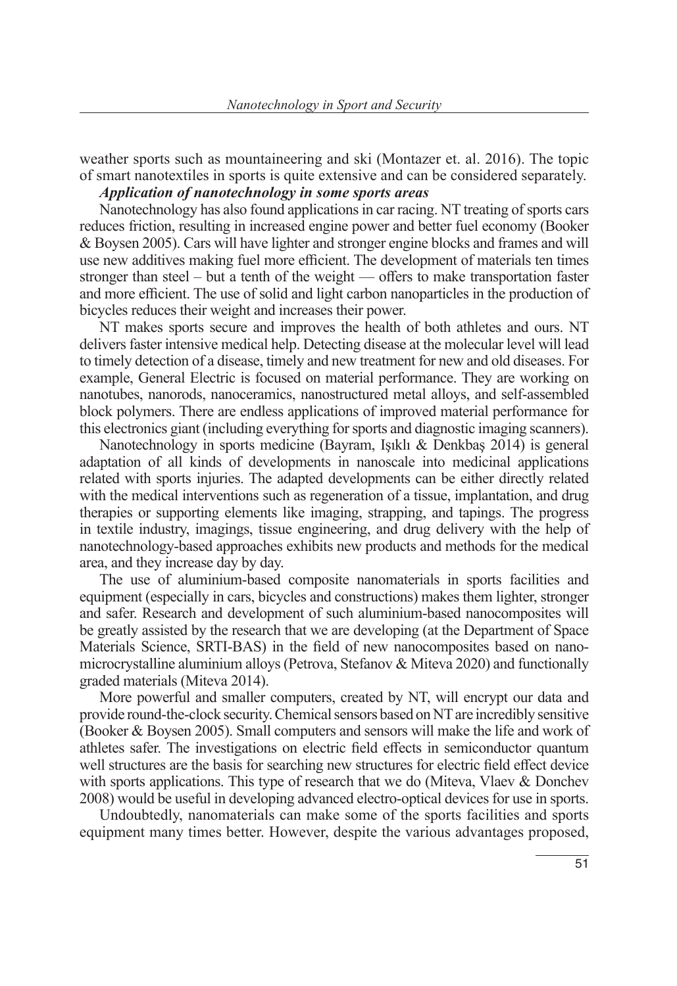weather sports such as mountaineering and ski (Montazer et. al. 2016). The topic of smart nanotextiles in sports is quite extensive and can be considered separately.

## *Application of nanotechnology in some sports areas*

Nanotechnology has also found applications in car racing. NT treating of sports cars reduces friction, resulting in increased engine power and better fuel economy (Booker & Boysen 2005). Cars will have lighter and stronger engine blocks and frames and will use new additives making fuel more efficient. The development of materials ten times stronger than steel – but a tenth of the weight — offers to make transportation faster and more efficient. The use of solid and light carbon nanoparticles in the production of bicycles reduces their weight and increases their power.

NT makes sports secure and improves the health of both athletes and ours. NT delivers faster intensive medical help. Detecting disease at the molecular level will lead to timely detection of a disease, timely and new treatment for new and old diseases. For example, General Electric is focused on material performance. They are working on nanotubes, nanorods, nanoceramics, nanostructured metal alloys, and self-assembled block polymers. There are endless applications of improved material performance for this electronics giant (including everything for sports and diagnostic imaging scanners).

Nanotechnology in sports medicine (Bayram, Işıklı & Denkbaş 2014) is general adaptation of all kinds of developments in nanoscale into medicinal applications related with sports injuries. The adapted developments can be either directly related with the medical interventions such as regeneration of a tissue, implantation, and drug therapies or supporting elements like imaging, strapping, and tapings. The progress in textile industry, imagings, tissue engineering, and drug delivery with the help of nanotechnology-based approaches exhibits new products and methods for the medical area, and they increase day by day.

The use of aluminium-based composite nanomaterials in sports facilities and equipment (especially in cars, bicycles and constructions) makes them lighter, stronger and safer. Research and development of such aluminium-based nanocomposites will be greatly assisted by the research that we are developing (at the Department of Space Materials Science, SRTI-BAS) in the field of new nanocomposites based on nanomicrocrystalline aluminium alloys (Petrova, Stefanov & Miteva 2020) and functionally graded materials (Miteva 2014).

More powerful and smaller computers, created by NT, will encrypt our data and provide round-the-clock security. Chemical sensors based on NT are incredibly sensitive (Booker & Boysen 2005). Small computers and sensors will make the life and work of athletes safer. The investigations on electric field effects in semiconductor quantum well structures are the basis for searching new structures for electric field effect device with sports applications. This type of research that we do (Miteva, Vlaev & Donchev 2008) would be useful in developing advanced electro-optical devices for use in sports.

Undoubtedly, nanomaterials can make some of the sports facilities and sports equipment many times better. However, despite the various advantages proposed,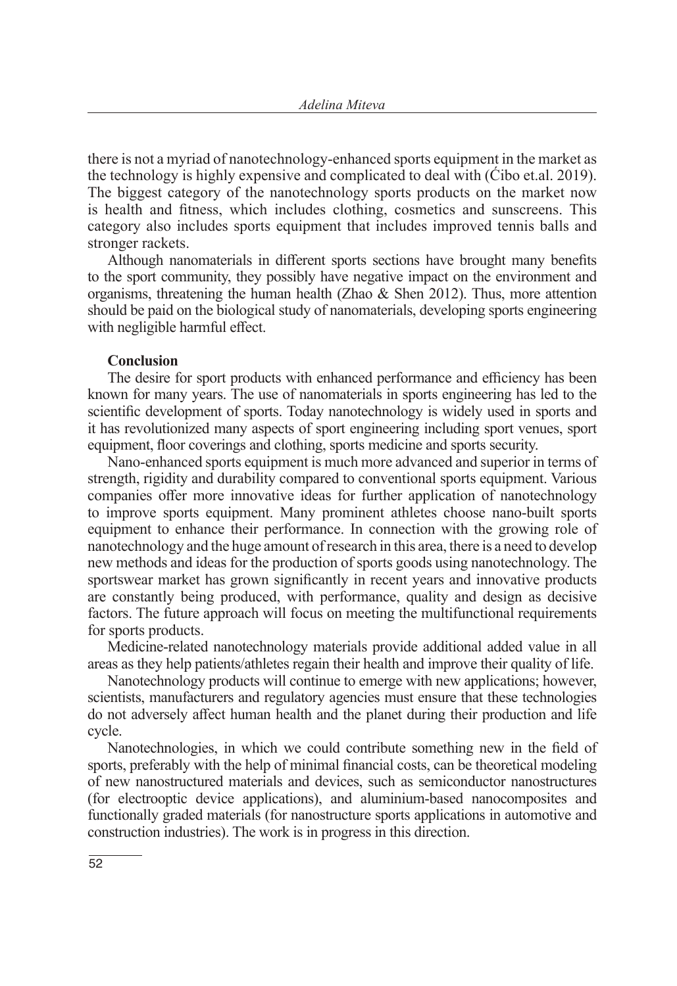there is not a myriad of nanotechnology-enhanced sports equipment in the market as the technology is highly expensive and complicated to deal with (Ćibo et.al. 2019). The biggest category of the nanotechnology sports products on the market now is health and fitness, which includes clothing, cosmetics and sunscreens. This category also includes sports equipment that includes improved tennis balls and stronger rackets.

Although nanomaterials in different sports sections have brought many benefits to the sport community, they possibly have negative impact on the environment and organisms, threatening the human health (Zhao & Shen 2012). Thus, more attention should be paid on the biological study of nanomaterials, developing sports engineering with negligible harmful effect.

#### **Conclusion**

The desire for sport products with enhanced performance and efficiency has been known for many years. The use of nanomaterials in sports engineering has led to the scientific development of sports. Today nanotechnology is widely used in sports and it has revolutionized many aspects of sport engineering including sport venues, sport equipment, floor coverings and clothing, sports medicine and sports security.

Nano-enhanced sports equipment is much more advanced and superior in terms of strength, rigidity and durability compared to conventional sports equipment. Various companies offer more innovative ideas for further application of nanotechnology to improve sports equipment. Many prominent athletes choose nano-built sports equipment to enhance their performance. In connection with the growing role of nanotechnology and the huge amount of research in this area, there is a need to develop new methods and ideas for the production of sports goods using nanotechnology. The sportswear market has grown significantly in recent years and innovative products are constantly being produced, with performance, quality and design as decisive factors. The future approach will focus on meeting the multifunctional requirements for sports products.

Medicine-related nanotechnology materials provide additional added value in all areas as they help patients/athletes regain their health and improve their quality of life.

Nanotechnology products will continue to emerge with new applications; however, scientists, manufacturers and regulatory agencies must ensure that these technologies do not adversely affect human health and the planet during their production and life cycle.

Nanotechnologies, in which we could contribute something new in the field of sports, preferably with the help of minimal financial costs, can be theoretical modeling of new nanostructured materials and devices, such as semiconductor nanostructures (for electrooptic device applications), and aluminium-based nanocomposites and functionally graded materials (for nanostructure sports applications in automotive and construction industries). The work is in progress in this direction.